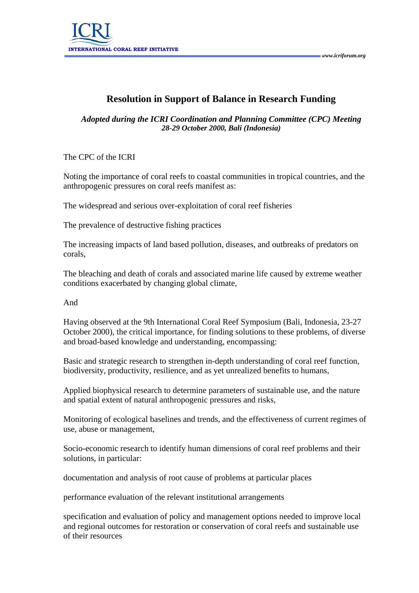

## **Resolution in Support of Balance in Research Funding**

## *Adopted during the ICRI Coordination and Planning Committee (CPC) Meeting 28-29 October 2000, Bali (Indonesia)*

The CPC of the ICRI

Noting the importance of coral reefs to coastal communities in tropical countries, and the anthropogenic pressures on coral reefs manifest as:

The widespread and serious over-exploitation of coral reef fisheries

The prevalence of destructive fishing practices

The increasing impacts of land based pollution, diseases, and outbreaks of predators on corals,

The bleaching and death of corals and associated marine life caused by extreme weather conditions exacerbated by changing global climate,

## And

Having observed at the 9th International Coral Reef Symposium (Bali, Indonesia, 23-27 October 2000), the critical importance, for finding solutions to these problems, of diverse and broad-based knowledge and understanding, encompassing:

Basic and strategic research to strengthen in-depth understanding of coral reef function, biodiversity, productivity, resilience, and as yet unrealized benefits to humans,

Applied biophysical research to determine parameters of sustainable use, and the nature and spatial extent of natural anthropogenic pressures and risks,

Monitoring of ecological baselines and trends, and the effectiveness of current regimes of use, abuse or management,

Socio-economic research to identify human dimensions of coral reef problems and their solutions, in particular:

documentation and analysis of root cause of problems at particular places

performance evaluation of the relevant institutional arrangements

specification and evaluation of policy and management options needed to improve local and regional outcomes for restoration or conservation of coral reefs and sustainable use of their resources